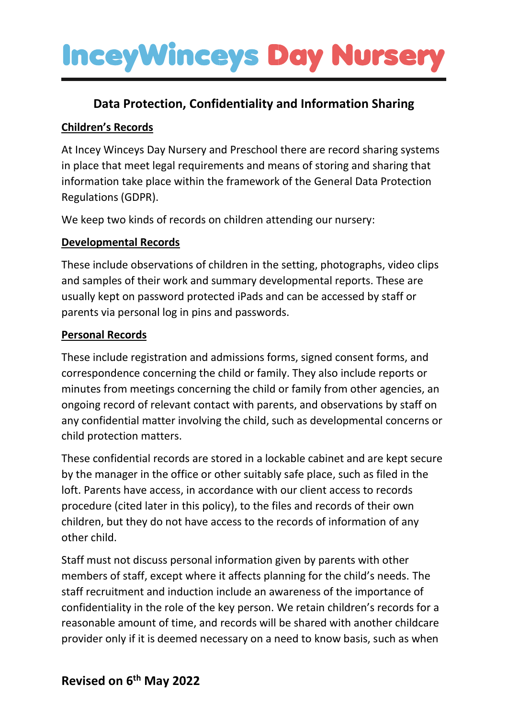### **Data Protection, Confidentiality and Information Sharing**

#### **Children's Records**

At Incey Winceys Day Nursery and Preschool there are record sharing systems in place that meet legal requirements and means of storing and sharing that information take place within the framework of the General Data Protection Regulations (GDPR).

We keep two kinds of records on children attending our nursery:

#### **Developmental Records**

These include observations of children in the setting, photographs, video clips and samples of their work and summary developmental reports. These are usually kept on password protected iPads and can be accessed by staff or parents via personal log in pins and passwords.

#### **Personal Records**

These include registration and admissions forms, signed consent forms, and correspondence concerning the child or family. They also include reports or minutes from meetings concerning the child or family from other agencies, an ongoing record of relevant contact with parents, and observations by staff on any confidential matter involving the child, such as developmental concerns or child protection matters.

These confidential records are stored in a lockable cabinet and are kept secure by the manager in the office or other suitably safe place, such as filed in the loft. Parents have access, in accordance with our client access to records procedure (cited later in this policy), to the files and records of their own children, but they do not have access to the records of information of any other child.

Staff must not discuss personal information given by parents with other members of staff, except where it affects planning for the child's needs. The staff recruitment and induction include an awareness of the importance of confidentiality in the role of the key person. We retain children's records for a reasonable amount of time, and records will be shared with another childcare provider only if it is deemed necessary on a need to know basis, such as when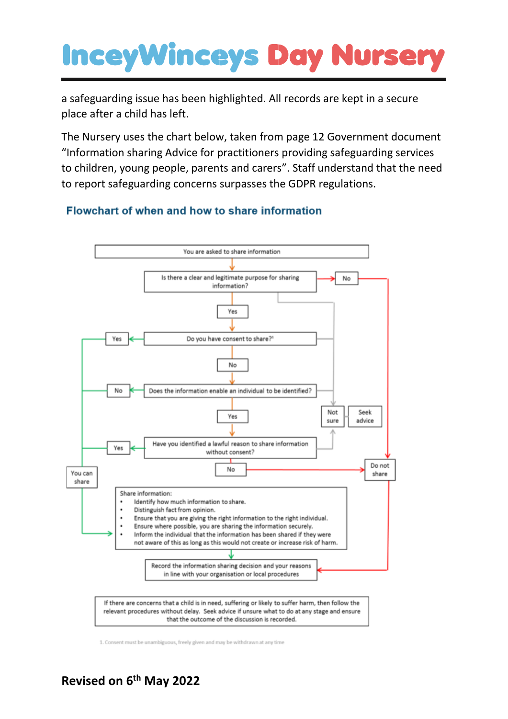a safeguarding issue has been highlighted. All records are kept in a secure place after a child has left.

The Nursery uses the chart below, taken from page 12 Government document "Information sharing Advice for practitioners providing safeguarding services to children, young people, parents and carers". Staff understand that the need to report safeguarding concerns surpasses the GDPR regulations.

#### Flowchart of when and how to share information



1. Consent must be unambiguous, freely given and may be withdrawn at any time

### **Revised on 6 th May 2022**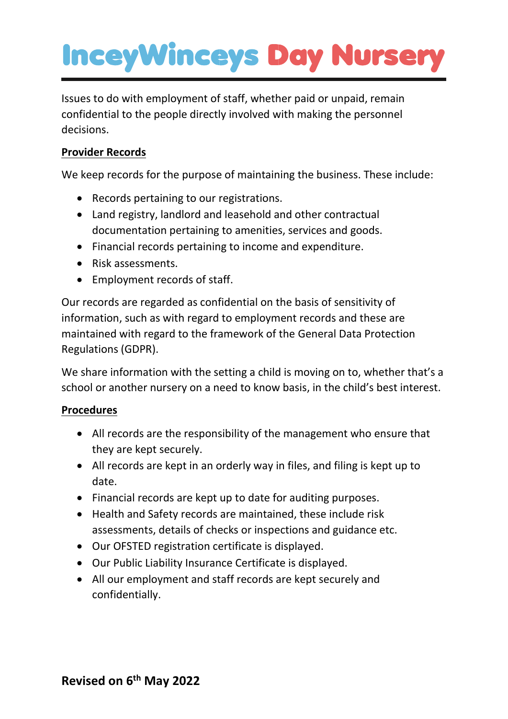Issues to do with employment of staff, whether paid or unpaid, remain confidential to the people directly involved with making the personnel decisions.

#### **Provider Records**

We keep records for the purpose of maintaining the business. These include:

- Records pertaining to our registrations.
- Land registry, landlord and leasehold and other contractual documentation pertaining to amenities, services and goods.
- Financial records pertaining to income and expenditure.
- Risk assessments.
- Employment records of staff.

Our records are regarded as confidential on the basis of sensitivity of information, such as with regard to employment records and these are maintained with regard to the framework of the General Data Protection Regulations (GDPR).

We share information with the setting a child is moving on to, whether that's a school or another nursery on a need to know basis, in the child's best interest.

#### **Procedures**

- All records are the responsibility of the management who ensure that they are kept securely.
- All records are kept in an orderly way in files, and filing is kept up to date.
- Financial records are kept up to date for auditing purposes.
- Health and Safety records are maintained, these include risk assessments, details of checks or inspections and guidance etc.
- Our OFSTED registration certificate is displayed.
- Our Public Liability Insurance Certificate is displayed.
- All our employment and staff records are kept securely and confidentially.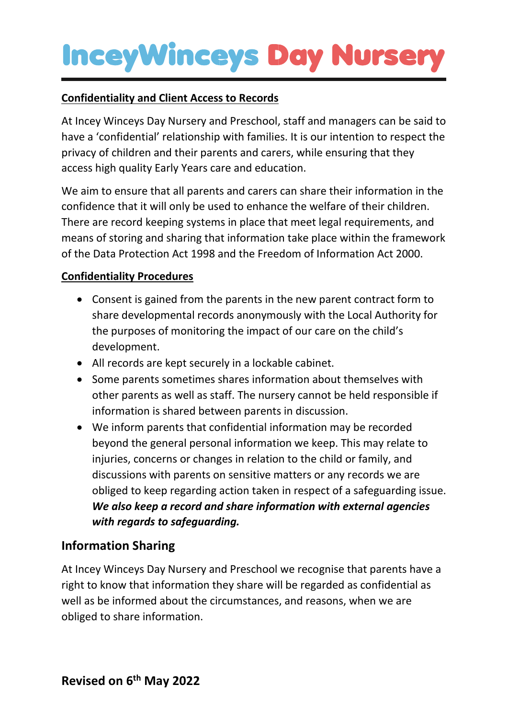#### **Confidentiality and Client Access to Records**

At Incey Winceys Day Nursery and Preschool, staff and managers can be said to have a 'confidential' relationship with families. It is our intention to respect the privacy of children and their parents and carers, while ensuring that they access high quality Early Years care and education.

We aim to ensure that all parents and carers can share their information in the confidence that it will only be used to enhance the welfare of their children. There are record keeping systems in place that meet legal requirements, and means of storing and sharing that information take place within the framework of the Data Protection Act 1998 and the Freedom of Information Act 2000.

#### **Confidentiality Procedures**

- Consent is gained from the parents in the new parent contract form to share developmental records anonymously with the Local Authority for the purposes of monitoring the impact of our care on the child's development.
- All records are kept securely in a lockable cabinet.
- Some parents sometimes shares information about themselves with other parents as well as staff. The nursery cannot be held responsible if information is shared between parents in discussion.
- We inform parents that confidential information may be recorded beyond the general personal information we keep. This may relate to injuries, concerns or changes in relation to the child or family, and discussions with parents on sensitive matters or any records we are obliged to keep regarding action taken in respect of a safeguarding issue. *We also keep a record and share information with external agencies with regards to safeguarding.*

### **Information Sharing**

At Incey Winceys Day Nursery and Preschool we recognise that parents have a right to know that information they share will be regarded as confidential as well as be informed about the circumstances, and reasons, when we are obliged to share information.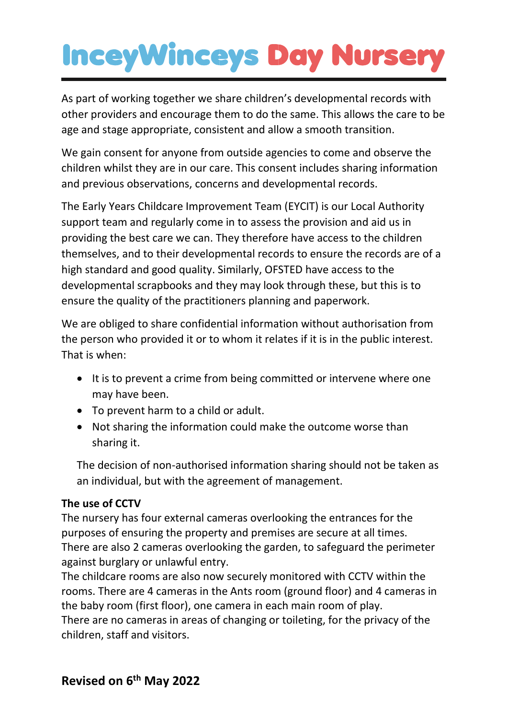As part of working together we share children's developmental records with other providers and encourage them to do the same. This allows the care to be age and stage appropriate, consistent and allow a smooth transition.

We gain consent for anyone from outside agencies to come and observe the children whilst they are in our care. This consent includes sharing information and previous observations, concerns and developmental records.

The Early Years Childcare Improvement Team (EYCIT) is our Local Authority support team and regularly come in to assess the provision and aid us in providing the best care we can. They therefore have access to the children themselves, and to their developmental records to ensure the records are of a high standard and good quality. Similarly, OFSTED have access to the developmental scrapbooks and they may look through these, but this is to ensure the quality of the practitioners planning and paperwork.

We are obliged to share confidential information without authorisation from the person who provided it or to whom it relates if it is in the public interest. That is when:

- It is to prevent a crime from being committed or intervene where one may have been.
- To prevent harm to a child or adult.
- Not sharing the information could make the outcome worse than sharing it.

The decision of non-authorised information sharing should not be taken as an individual, but with the agreement of management.

### **The use of CCTV**

The nursery has four external cameras overlooking the entrances for the purposes of ensuring the property and premises are secure at all times. There are also 2 cameras overlooking the garden, to safeguard the perimeter against burglary or unlawful entry.

The childcare rooms are also now securely monitored with CCTV within the rooms. There are 4 cameras in the Ants room (ground floor) and 4 cameras in the baby room (first floor), one camera in each main room of play.

There are no cameras in areas of changing or toileting, for the privacy of the children, staff and visitors.